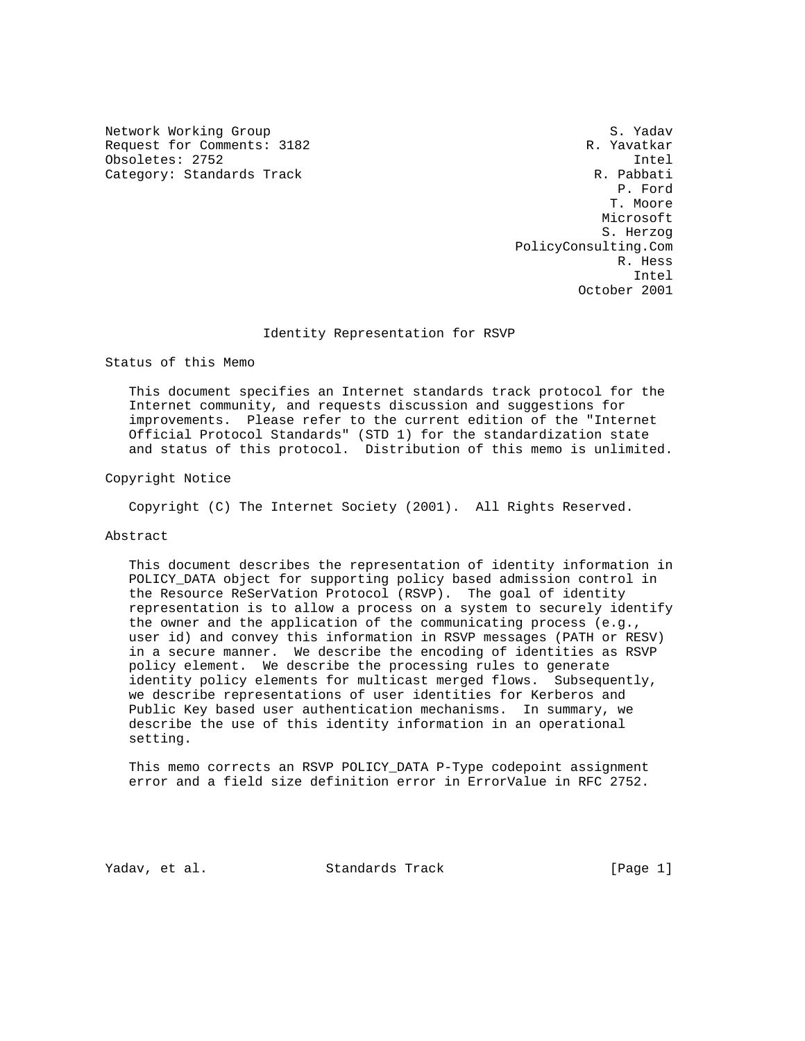Network Working Group S. Yadav Request for Comments: 3182 R. Yavatkar Obsoletes: 2752 Intel<br>Category: Standards Track Category: Standards Track Category: Standards Track

 P. Ford T. Moore Microsoft S. Herzog PolicyConsulting.Com R. Hess Intel October 2001

## Identity Representation for RSVP

Status of this Memo

 This document specifies an Internet standards track protocol for the Internet community, and requests discussion and suggestions for improvements. Please refer to the current edition of the "Internet Official Protocol Standards" (STD 1) for the standardization state and status of this protocol. Distribution of this memo is unlimited.

Copyright Notice

Copyright (C) The Internet Society (2001). All Rights Reserved.

# Abstract

 This document describes the representation of identity information in POLICY\_DATA object for supporting policy based admission control in the Resource ReSerVation Protocol (RSVP). The goal of identity representation is to allow a process on a system to securely identify the owner and the application of the communicating process (e.g., user id) and convey this information in RSVP messages (PATH or RESV) in a secure manner. We describe the encoding of identities as RSVP policy element. We describe the processing rules to generate identity policy elements for multicast merged flows. Subsequently, we describe representations of user identities for Kerberos and Public Key based user authentication mechanisms. In summary, we describe the use of this identity information in an operational setting.

 This memo corrects an RSVP POLICY\_DATA P-Type codepoint assignment error and a field size definition error in ErrorValue in RFC 2752.

Yadav, et al. Standards Track [Page 1]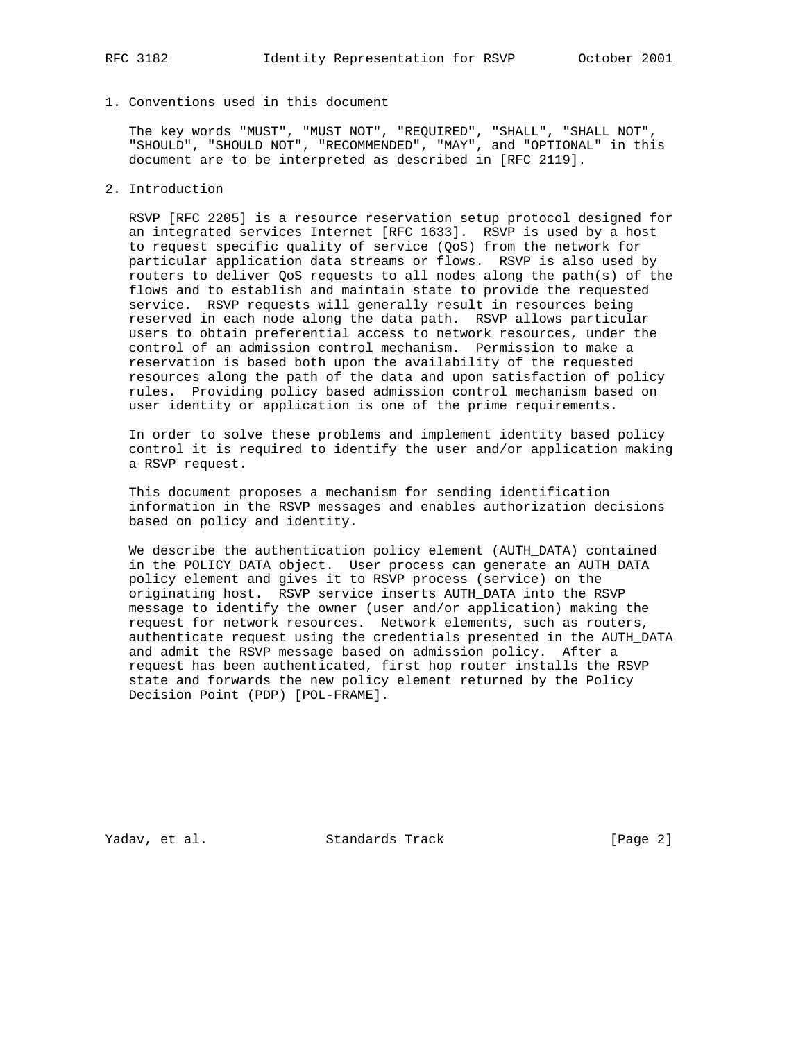1. Conventions used in this document

 The key words "MUST", "MUST NOT", "REQUIRED", "SHALL", "SHALL NOT", "SHOULD", "SHOULD NOT", "RECOMMENDED", "MAY", and "OPTIONAL" in this document are to be interpreted as described in [RFC 2119].

2. Introduction

 RSVP [RFC 2205] is a resource reservation setup protocol designed for an integrated services Internet [RFC 1633]. RSVP is used by a host to request specific quality of service (QoS) from the network for particular application data streams or flows. RSVP is also used by routers to deliver QoS requests to all nodes along the path(s) of the flows and to establish and maintain state to provide the requested service. RSVP requests will generally result in resources being reserved in each node along the data path. RSVP allows particular users to obtain preferential access to network resources, under the control of an admission control mechanism. Permission to make a reservation is based both upon the availability of the requested resources along the path of the data and upon satisfaction of policy rules. Providing policy based admission control mechanism based on user identity or application is one of the prime requirements.

 In order to solve these problems and implement identity based policy control it is required to identify the user and/or application making a RSVP request.

 This document proposes a mechanism for sending identification information in the RSVP messages and enables authorization decisions based on policy and identity.

 We describe the authentication policy element (AUTH\_DATA) contained in the POLICY\_DATA object. User process can generate an AUTH\_DATA policy element and gives it to RSVP process (service) on the originating host. RSVP service inserts AUTH\_DATA into the RSVP message to identify the owner (user and/or application) making the request for network resources. Network elements, such as routers, authenticate request using the credentials presented in the AUTH\_DATA and admit the RSVP message based on admission policy. After a request has been authenticated, first hop router installs the RSVP state and forwards the new policy element returned by the Policy Decision Point (PDP) [POL-FRAME].

Yadav, et al. Standards Track [Page 2]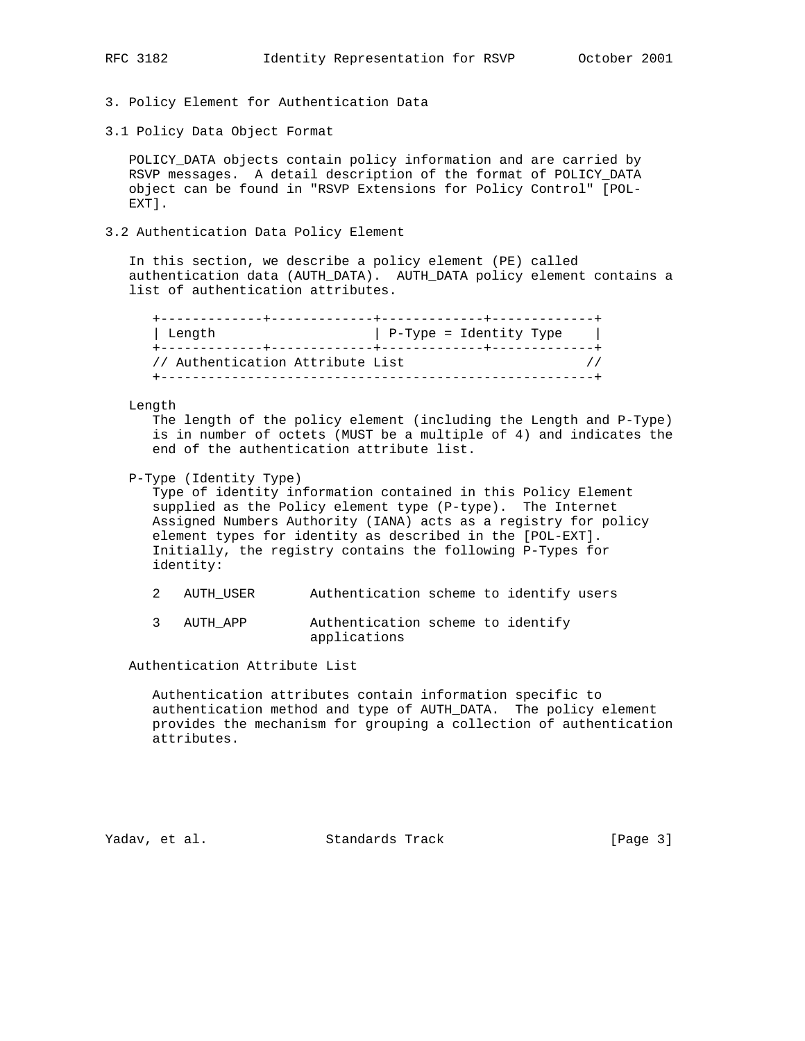- 3. Policy Element for Authentication Data
- 3.1 Policy Data Object Format

 POLICY\_DATA objects contain policy information and are carried by RSVP messages. A detail description of the format of POLICY\_DATA object can be found in "RSVP Extensions for Policy Control" [POL- EXT].

3.2 Authentication Data Policy Element

 In this section, we describe a policy element (PE) called authentication data (AUTH\_DATA). AUTH\_DATA policy element contains a list of authentication attributes.

| Length                           | P-Type = Identity Type |
|----------------------------------|------------------------|
| // Authentication Attribute List |                        |

# Length

 The length of the policy element (including the Length and P-Type) is in number of octets (MUST be a multiple of 4) and indicates the end of the authentication attribute list.

P-Type (Identity Type)

 Type of identity information contained in this Policy Element supplied as the Policy element type (P-type). The Internet Assigned Numbers Authority (IANA) acts as a registry for policy element types for identity as described in the [POL-EXT]. Initially, the registry contains the following P-Types for identity:

- 2 AUTH\_USER Authentication scheme to identify users
- 3 AUTH\_APP Authentication scheme to identify applications

Authentication Attribute List

 Authentication attributes contain information specific to authentication method and type of AUTH\_DATA. The policy element provides the mechanism for grouping a collection of authentication attributes.

Yadav, et al. Standards Track [Page 3]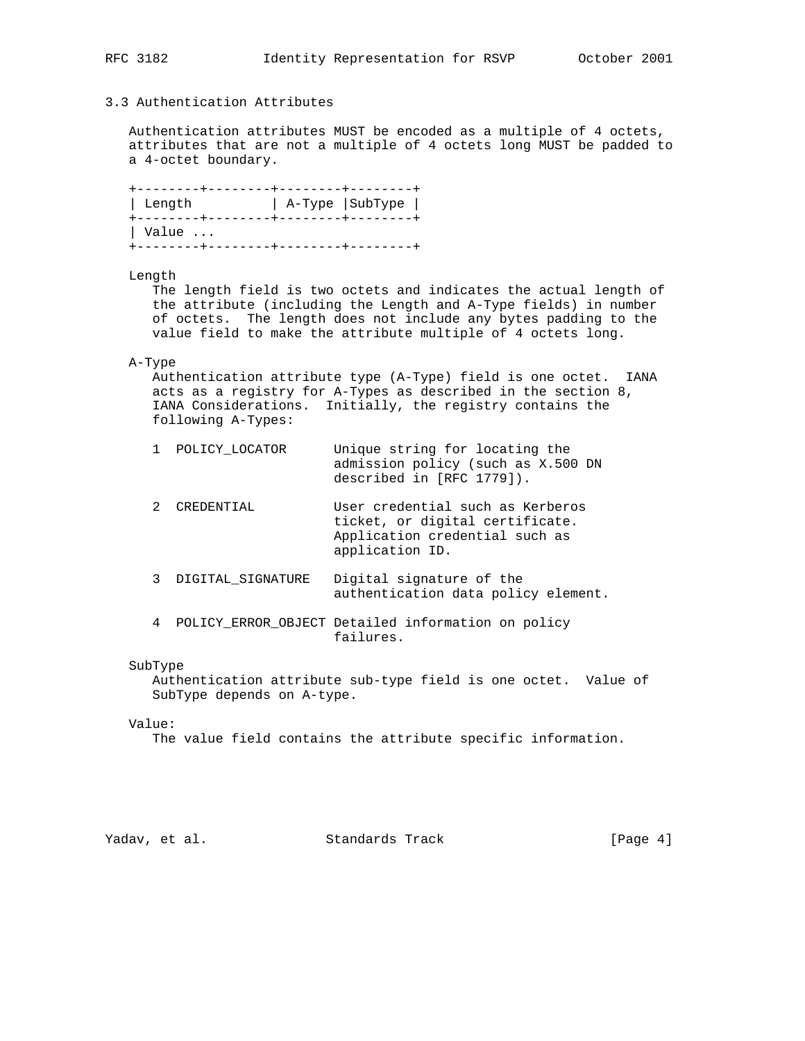# 3.3 Authentication Attributes

 Authentication attributes MUST be encoded as a multiple of 4 octets, attributes that are not a multiple of 4 octets long MUST be padded to a 4-octet boundary.

| ∣ Length               | A-Type SubType |
|------------------------|----------------|
| $\vert$ Value $\ldots$ |                |

## Length

 The length field is two octets and indicates the actual length of the attribute (including the Length and A-Type fields) in number of octets. The length does not include any bytes padding to the value field to make the attribute multiple of 4 octets long.

## A-Type

 Authentication attribute type (A-Type) field is one octet. IANA acts as a registry for A-Types as described in the section 8, IANA Considerations. Initially, the registry contains the following A-Types:

| 1 POLICY LOCATOR | Unique string for locating the     |
|------------------|------------------------------------|
|                  | admission policy (such as X.500 DN |
|                  | described in [RFC 1779]).          |

| 2 CREDENTIAL | User credential such as Kerberos |
|--------------|----------------------------------|
|              | ticket, or digital certificate.  |
|              | Application credential such as   |
|              | application ID.                  |

- 3 DIGITAL\_SIGNATURE Digital signature of the authentication data policy element.
- 4 POLICY\_ERROR\_OBJECT Detailed information on policy failures.

### SubType

 Authentication attribute sub-type field is one octet. Value of SubType depends on A-type.

## Value:

The value field contains the attribute specific information.

Yadav, et al. Standards Track [Page 4]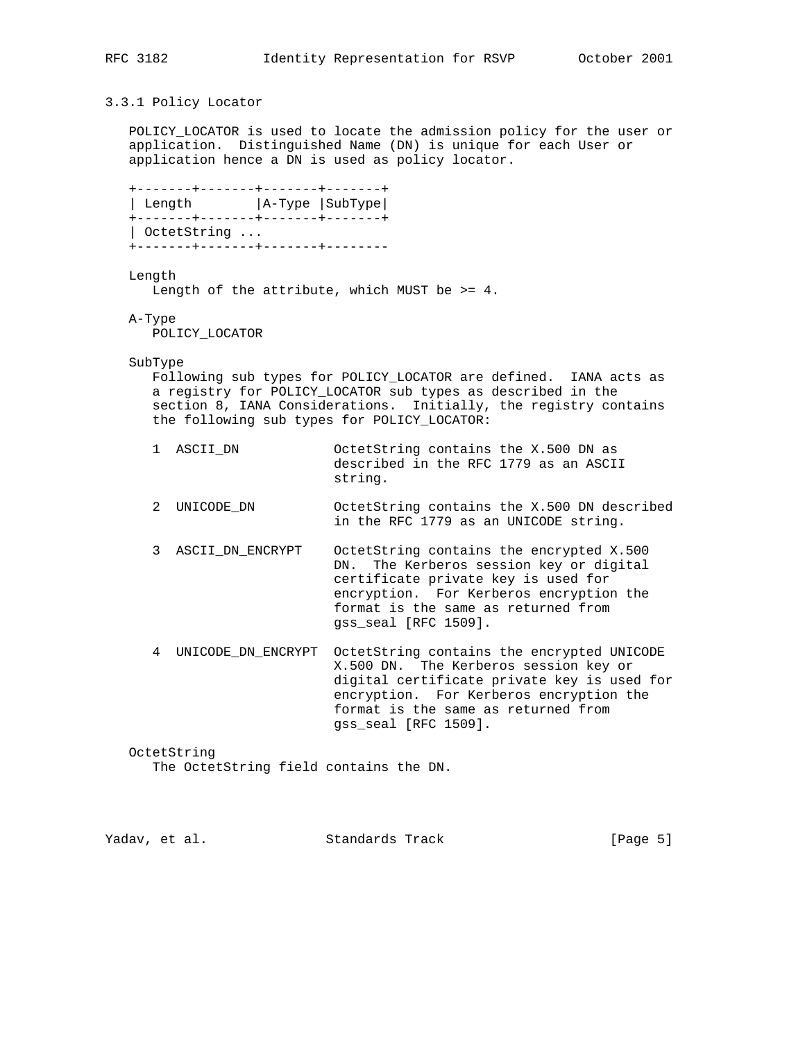# 3.3.1 Policy Locator

 POLICY\_LOCATOR is used to locate the admission policy for the user or application. Distinguished Name (DN) is unique for each User or application hence a DN is used as policy locator.

 +-------+-------+-------+-------+ | Length  $|A-Type|$  SubType +-------+-------+-------+-------+ | OctetString ... +-------+-------+-------+--------

Length

Length of the attribute, which MUST be >= 4.

A-Type

POLICY\_LOCATOR

SubType

 Following sub types for POLICY\_LOCATOR are defined. IANA acts as a registry for POLICY\_LOCATOR sub types as described in the section 8, IANA Considerations. Initially, the registry contains the following sub types for POLICY\_LOCATOR:

| 1 ASCII DN | OctetString contains the X.500 DN as  |
|------------|---------------------------------------|
|            | described in the RFC 1779 as an ASCII |
|            | string.                               |

- 2 UNICODE\_DN OctetString contains the X.500 DN described in the RFC 1779 as an UNICODE string.
- 3 ASCII\_DN\_ENCRYPT OctetString contains the encrypted X.500 DN. The Kerberos session key or digital certificate private key is used for encryption. For Kerberos encryption the format is the same as returned from gss\_seal [RFC 1509].
- 4 UNICODE\_DN\_ENCRYPT OctetString contains the encrypted UNICODE X.500 DN. The Kerberos session key or digital certificate private key is used for encryption. For Kerberos encryption the format is the same as returned from gss\_seal [RFC 1509].

 OctetString The OctetString field contains the DN.

| Yadav, et al.<br>Standards Track | [Page 5] |
|----------------------------------|----------|
|----------------------------------|----------|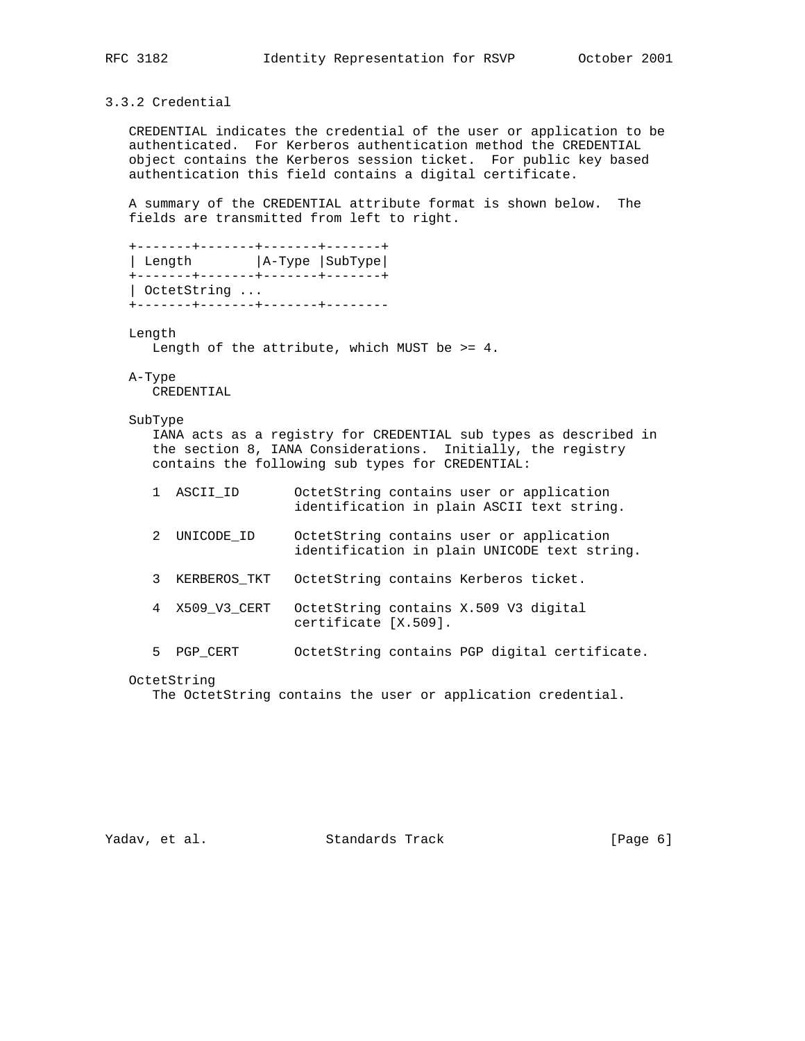# 3.3.2 Credential

 CREDENTIAL indicates the credential of the user or application to be authenticated. For Kerberos authentication method the CREDENTIAL object contains the Kerberos session ticket. For public key based authentication this field contains a digital certificate.

 A summary of the CREDENTIAL attribute format is shown below. The fields are transmitted from left to right.

```
 +-------+-------+-------+-------+
| Length | A-Type | SubType |
 +-------+-------+-------+-------+
 | OctetString ...
 +-------+-------+-------+--------
```
Length

Length of the attribute, which MUST be >= 4.

### A-Type

CREDENTIAL

## SubType

 IANA acts as a registry for CREDENTIAL sub types as described in the section 8, IANA Considerations. Initially, the registry contains the following sub types for CREDENTIAL:

- 1 ASCII\_ID OctetString contains user or application identification in plain ASCII text string.
- 2 UNICODE\_ID OctetString contains user or application identification in plain UNICODE text string.
- 3 KERBEROS\_TKT OctetString contains Kerberos ticket.
- 4 X509\_V3\_CERT OctetString contains X.509 V3 digital certificate [X.509].
- 5 PGP\_CERT OctetString contains PGP digital certificate.

The OctetString contains the user or application credential.

Yadav, et al. Standards Track [Page 6]

OctetString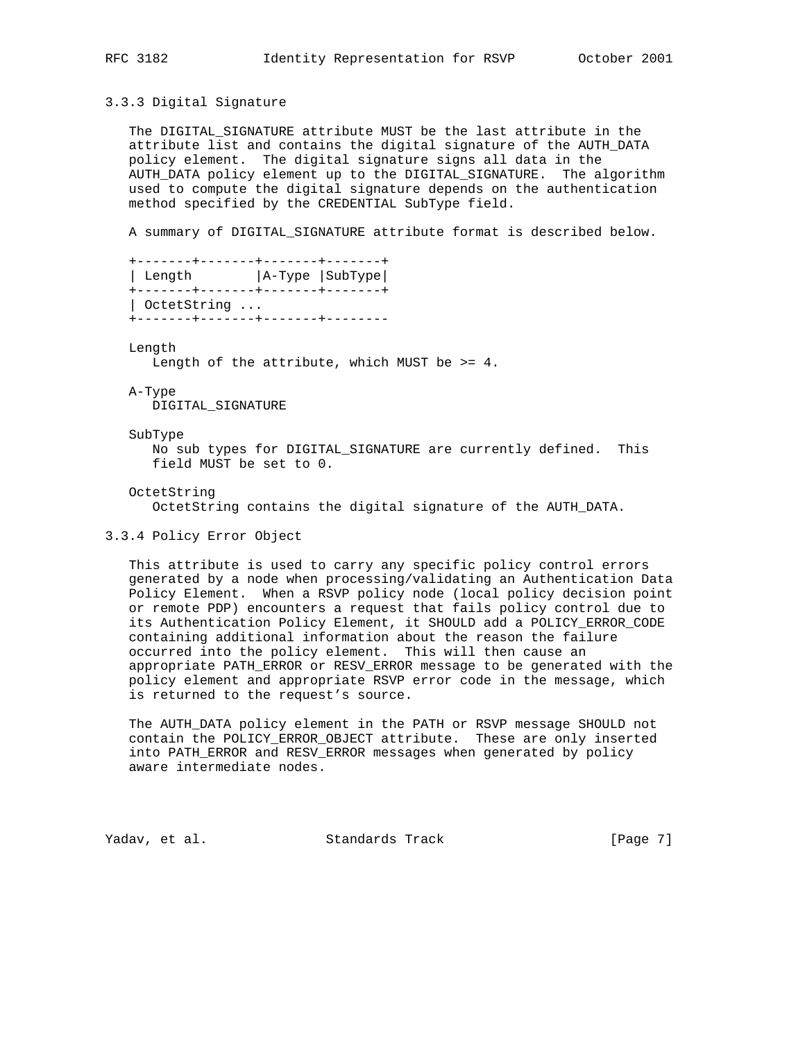## 3.3.3 Digital Signature

 The DIGITAL\_SIGNATURE attribute MUST be the last attribute in the attribute list and contains the digital signature of the AUTH\_DATA policy element. The digital signature signs all data in the AUTH\_DATA policy element up to the DIGITAL\_SIGNATURE. The algorithm used to compute the digital signature depends on the authentication method specified by the CREDENTIAL SubType field.

A summary of DIGITAL\_SIGNATURE attribute format is described below.

```
 +-------+-------+-------+-------+
| Length | A-Type | SubType |
 +-------+-------+-------+-------+
 | OctetString ...
 +-------+-------+-------+--------
```
Length

Length of the attribute, which MUST be >= 4.

A-Type

DIGITAL\_SIGNATURE

### SubType

 No sub types for DIGITAL\_SIGNATURE are currently defined. This field MUST be set to 0.

### OctetString

OctetString contains the digital signature of the AUTH\_DATA.

## 3.3.4 Policy Error Object

 This attribute is used to carry any specific policy control errors generated by a node when processing/validating an Authentication Data Policy Element. When a RSVP policy node (local policy decision point or remote PDP) encounters a request that fails policy control due to its Authentication Policy Element, it SHOULD add a POLICY\_ERROR\_CODE containing additional information about the reason the failure occurred into the policy element. This will then cause an appropriate PATH\_ERROR or RESV\_ERROR message to be generated with the policy element and appropriate RSVP error code in the message, which is returned to the request's source.

 The AUTH\_DATA policy element in the PATH or RSVP message SHOULD not contain the POLICY\_ERROR\_OBJECT attribute. These are only inserted into PATH\_ERROR and RESV\_ERROR messages when generated by policy aware intermediate nodes.

Yadav, et al. Standards Track [Page 7]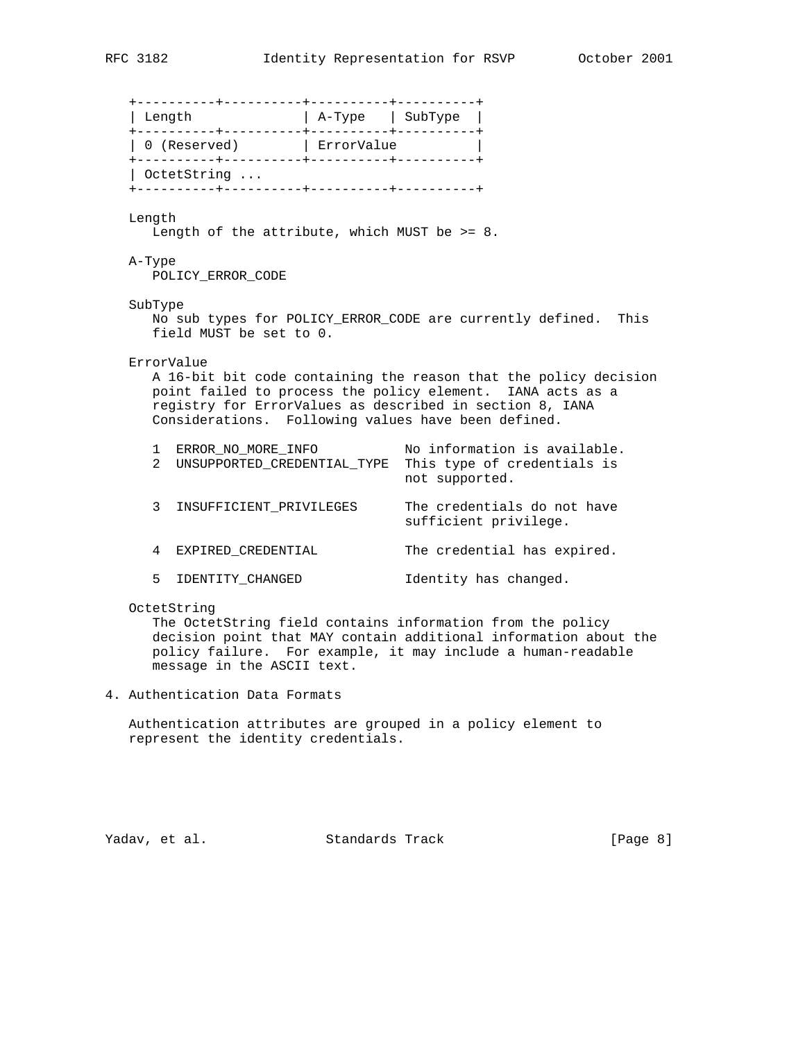+----------+----------+----------+----------+ | Length | A-Type | SubType | +----------+----------+----------+----------+ | 0 (Reserved) | ErrorValue | +----------+----------+----------+----------+ | OctetString ... +----------+----------+----------+----------+ Length Length of the attribute, which MUST be >= 8. A-Type POLICY\_ERROR\_CODE SubType No sub types for POLICY\_ERROR\_CODE are currently defined. This field MUST be set to 0. ErrorValue A 16-bit bit code containing the reason that the policy decision point failed to process the policy element. IANA acts as a registry for ErrorValues as described in section 8, IANA Considerations. Following values have been defined. 1 ERROR\_NO\_MORE\_INFO No information is available. 2 UNSUPPORTED\_CREDENTIAL\_TYPE This type of credentials is not supported. 3 INSUFFICIENT\_PRIVILEGES The credentials do not have sufficient privilege. 4 EXPIRED\_CREDENTIAL The credential has expired. 5 IDENTITY\_CHANGED Identity has changed. OctetString The OctetString field contains information from the policy decision point that MAY contain additional information about the

4. Authentication Data Formats

message in the ASCII text.

 Authentication attributes are grouped in a policy element to represent the identity credentials.

policy failure. For example, it may include a human-readable

Yadav, et al. Standards Track [Page 8]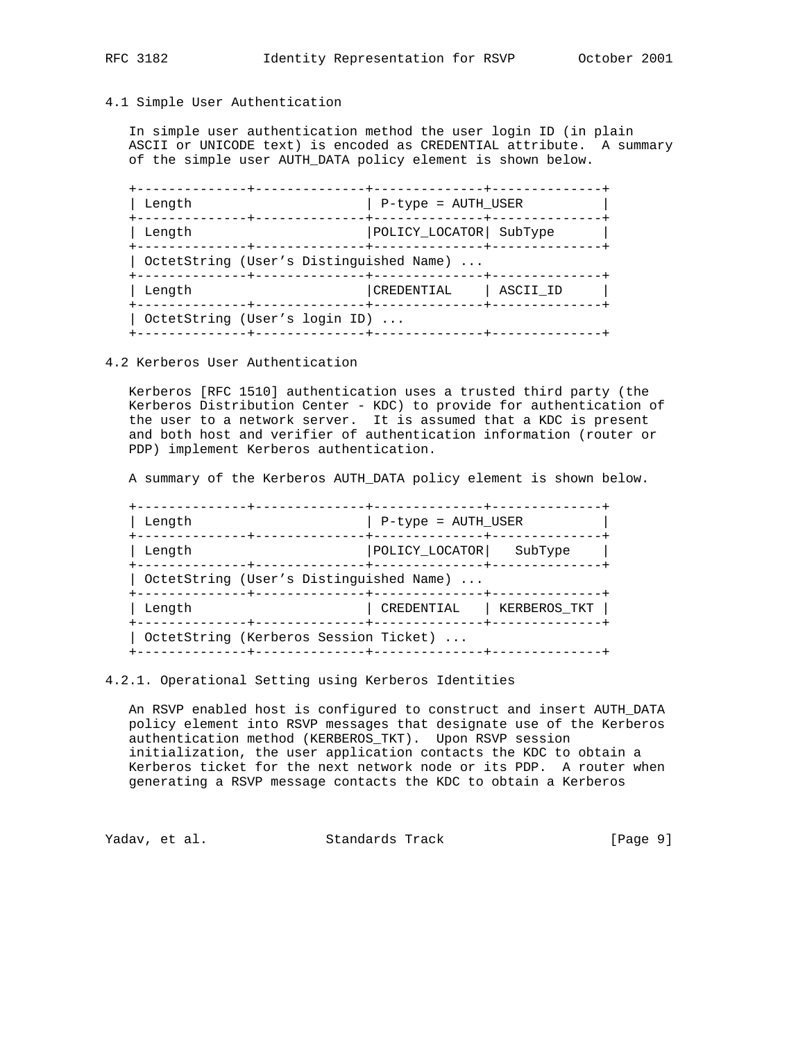# 4.1 Simple User Authentication

 In simple user authentication method the user login ID (in plain ASCII or UNICODE text) is encoded as CREDENTIAL attribute. A summary of the simple user AUTH\_DATA policy element is shown below.

| Length |                                         | P-type = AUTH_USER       |          |
|--------|-----------------------------------------|--------------------------|----------|
| Length |                                         | POLICY_LOCATOR   SubType |          |
|        | OctetString (User's Distinguished Name) |                          |          |
| Length |                                         | CREDENTIAL               | ASCII ID |
|        | OctetString (User's login ID)           |                          |          |
|        |                                         |                          |          |

# 4.2 Kerberos User Authentication

 Kerberos [RFC 1510] authentication uses a trusted third party (the Kerberos Distribution Center - KDC) to provide for authentication of the user to a network server. It is assumed that a KDC is present and both host and verifier of authentication information (router or PDP) implement Kerberos authentication.

A summary of the Kerberos AUTH\_DATA policy element is shown below.

| Length |                                         | P-type = AUTH_USER |              |
|--------|-----------------------------------------|--------------------|--------------|
| Length |                                         |                    | SubType      |
|        | OctetString (User's Distinguished Name) |                    |              |
| Length |                                         | CREDENTIAL         | KERBEROS TKT |
|        | OctetString (Kerberos Session Ticket)   |                    |              |
|        |                                         |                    |              |

# 4.2.1. Operational Setting using Kerberos Identities

 An RSVP enabled host is configured to construct and insert AUTH\_DATA policy element into RSVP messages that designate use of the Kerberos authentication method (KERBEROS\_TKT). Upon RSVP session initialization, the user application contacts the KDC to obtain a Kerberos ticket for the next network node or its PDP. A router when generating a RSVP message contacts the KDC to obtain a Kerberos

Yadav, et al. Standards Track [Page 9]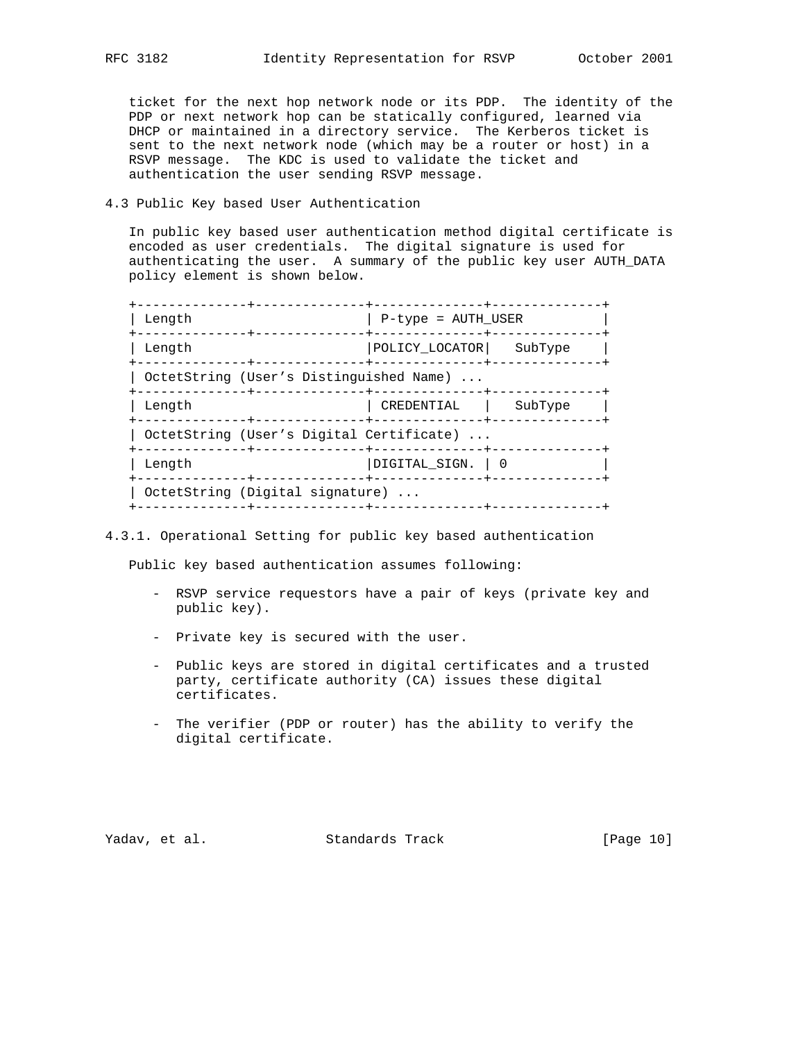ticket for the next hop network node or its PDP. The identity of the PDP or next network hop can be statically configured, learned via DHCP or maintained in a directory service. The Kerberos ticket is sent to the next network node (which may be a router or host) in a RSVP message. The KDC is used to validate the ticket and authentication the user sending RSVP message.

# 4.3 Public Key based User Authentication

 In public key based user authentication method digital certificate is encoded as user credentials. The digital signature is used for authenticating the user. A summary of the public key user AUTH\_DATA policy element is shown below.

| Length                                                                                | P-type = AUTH USER                              |         |
|---------------------------------------------------------------------------------------|-------------------------------------------------|---------|
| -------------+-----<br>Length                                                         | -------+---<br>POLICY LOCATOR                   | SubType |
| OctetString (User's Distinguished Name)                                               | ------+--------------+------------              |         |
| . - - - - - - - - - - <del>1</del> -<br>Length                                        | --------------+-------------+----<br>CREDENTIAL | SubType |
| OctetString (User's Digital Certificate)<br>. - - - - - - - - - + .<br>-------------- |                                                 |         |
| Length                                                                                | DIGITAL SIGN.   0                               |         |
| OctetString (Digital signature)                                                       |                                                 |         |

## 4.3.1. Operational Setting for public key based authentication

Public key based authentication assumes following:

- RSVP service requestors have a pair of keys (private key and public key).
- Private key is secured with the user.
- Public keys are stored in digital certificates and a trusted party, certificate authority (CA) issues these digital certificates.
- The verifier (PDP or router) has the ability to verify the digital certificate.

Yadav, et al. Standards Track [Page 10]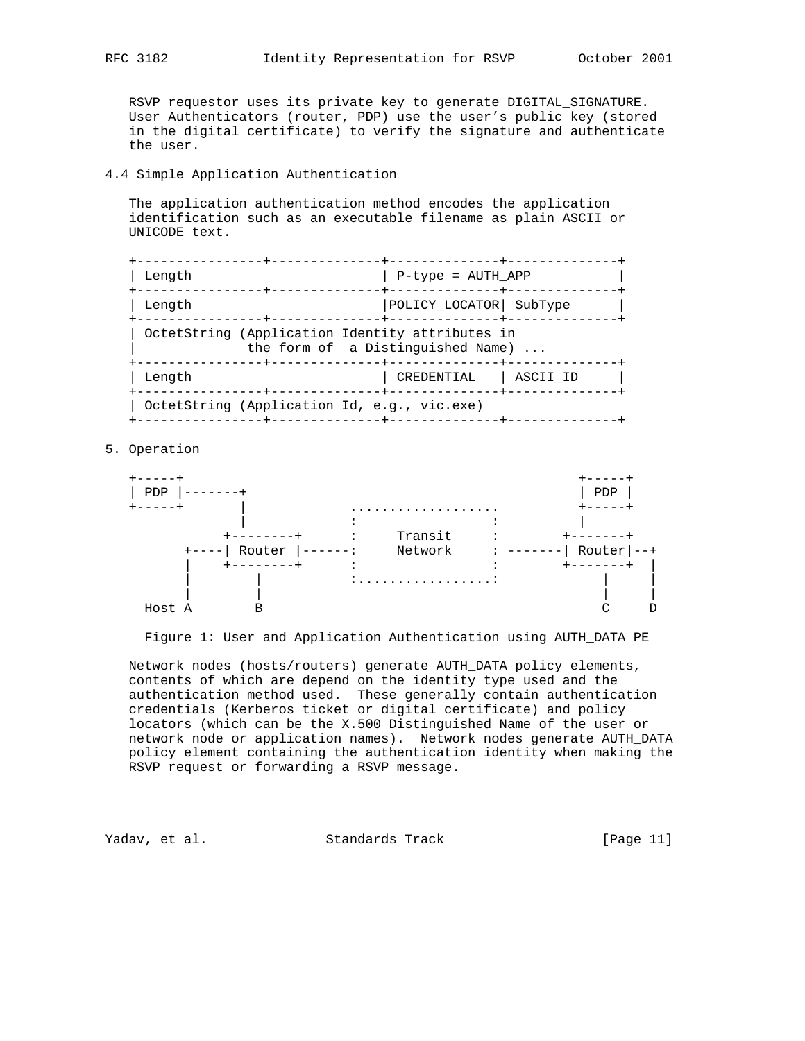RSVP requestor uses its private key to generate DIGITAL\_SIGNATURE. User Authenticators (router, PDP) use the user's public key (stored in the digital certificate) to verify the signature and authenticate the user.

## 4.4 Simple Application Authentication

 The application authentication method encodes the application identification such as an executable filename as plain ASCII or UNICODE text.

| Length                                          | P-type = AUTH_APP                 |  |
|-------------------------------------------------|-----------------------------------|--|
| Length                                          | POLICY_LOCATOR   SubType          |  |
| OctetString (Application Identity attributes in | the form of a Distinguished Name) |  |
| Length                                          | CREDENTIAL<br>ASCII ID            |  |
| OctetString (Application Id, e.g., vic.exe)     |                                   |  |

# 5. Operation



Figure 1: User and Application Authentication using AUTH\_DATA PE

 Network nodes (hosts/routers) generate AUTH\_DATA policy elements, contents of which are depend on the identity type used and the authentication method used. These generally contain authentication credentials (Kerberos ticket or digital certificate) and policy locators (which can be the X.500 Distinguished Name of the user or network node or application names). Network nodes generate AUTH\_DATA policy element containing the authentication identity when making the RSVP request or forwarding a RSVP message.

Yadav, et al. Standards Track [Page 11]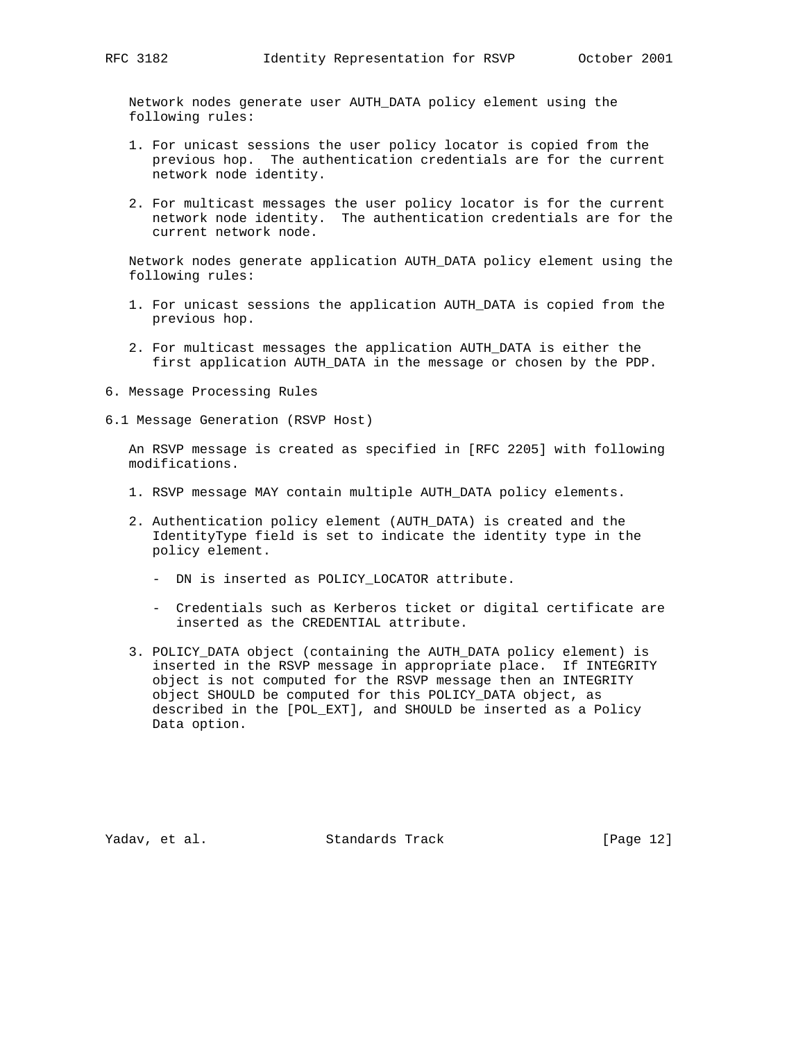Network nodes generate user AUTH\_DATA policy element using the following rules:

- 1. For unicast sessions the user policy locator is copied from the previous hop. The authentication credentials are for the current network node identity.
- 2. For multicast messages the user policy locator is for the current network node identity. The authentication credentials are for the current network node.

 Network nodes generate application AUTH\_DATA policy element using the following rules:

- 1. For unicast sessions the application AUTH\_DATA is copied from the previous hop.
- 2. For multicast messages the application AUTH\_DATA is either the first application AUTH\_DATA in the message or chosen by the PDP.
- 6. Message Processing Rules
- 6.1 Message Generation (RSVP Host)

 An RSVP message is created as specified in [RFC 2205] with following modifications.

- 1. RSVP message MAY contain multiple AUTH\_DATA policy elements.
- 2. Authentication policy element (AUTH\_DATA) is created and the IdentityType field is set to indicate the identity type in the policy element.
	- DN is inserted as POLICY\_LOCATOR attribute.
	- Credentials such as Kerberos ticket or digital certificate are inserted as the CREDENTIAL attribute.
- 3. POLICY\_DATA object (containing the AUTH\_DATA policy element) is inserted in the RSVP message in appropriate place. If INTEGRITY object is not computed for the RSVP message then an INTEGRITY object SHOULD be computed for this POLICY\_DATA object, as described in the [POL\_EXT], and SHOULD be inserted as a Policy Data option.

Yadav, et al. Standards Track [Page 12]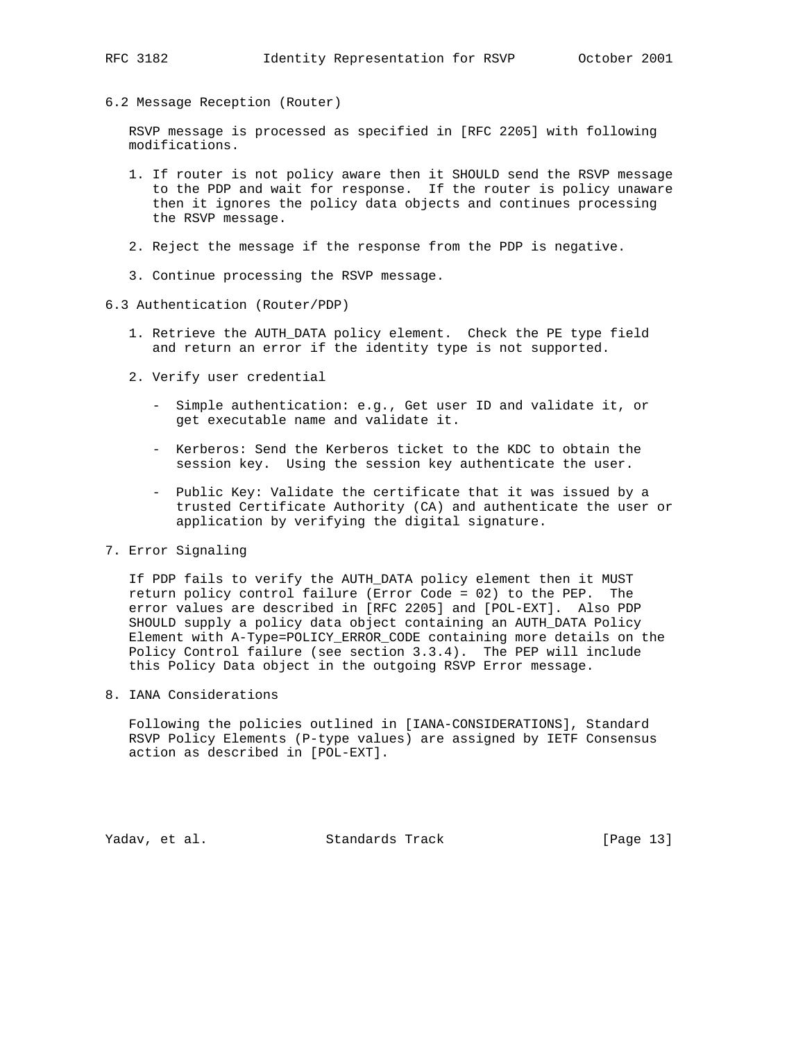6.2 Message Reception (Router)

 RSVP message is processed as specified in [RFC 2205] with following modifications.

- 1. If router is not policy aware then it SHOULD send the RSVP message to the PDP and wait for response. If the router is policy unaware then it ignores the policy data objects and continues processing the RSVP message.
- 2. Reject the message if the response from the PDP is negative.
- 3. Continue processing the RSVP message.
- 6.3 Authentication (Router/PDP)
	- 1. Retrieve the AUTH\_DATA policy element. Check the PE type field and return an error if the identity type is not supported.
	- 2. Verify user credential
		- Simple authentication: e.g., Get user ID and validate it, or get executable name and validate it.
		- Kerberos: Send the Kerberos ticket to the KDC to obtain the session key. Using the session key authenticate the user.
		- Public Key: Validate the certificate that it was issued by a trusted Certificate Authority (CA) and authenticate the user or application by verifying the digital signature.
- 7. Error Signaling

 If PDP fails to verify the AUTH\_DATA policy element then it MUST return policy control failure (Error Code = 02) to the PEP. The error values are described in [RFC 2205] and [POL-EXT]. Also PDP SHOULD supply a policy data object containing an AUTH\_DATA Policy Element with A-Type=POLICY\_ERROR\_CODE containing more details on the Policy Control failure (see section 3.3.4). The PEP will include this Policy Data object in the outgoing RSVP Error message.

8. IANA Considerations

 Following the policies outlined in [IANA-CONSIDERATIONS], Standard RSVP Policy Elements (P-type values) are assigned by IETF Consensus action as described in [POL-EXT].

Yadav, et al. Standards Track [Page 13]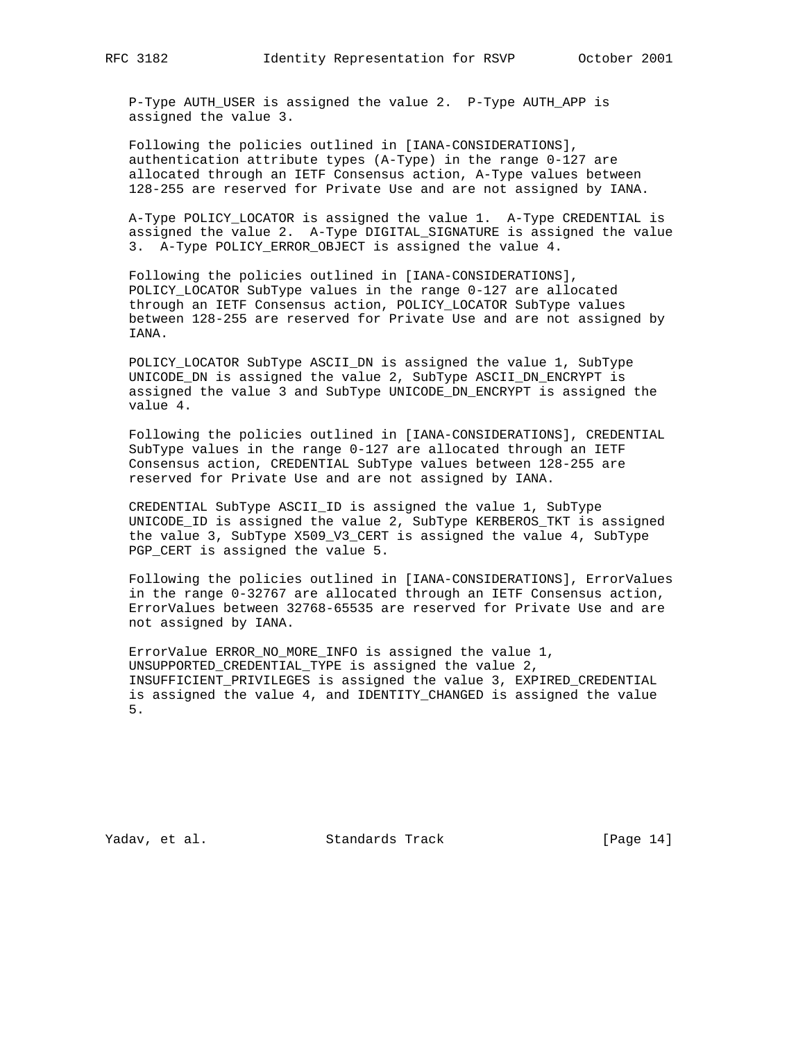P-Type AUTH\_USER is assigned the value 2. P-Type AUTH\_APP is assigned the value 3.

 Following the policies outlined in [IANA-CONSIDERATIONS], authentication attribute types (A-Type) in the range 0-127 are allocated through an IETF Consensus action, A-Type values between 128-255 are reserved for Private Use and are not assigned by IANA.

 A-Type POLICY\_LOCATOR is assigned the value 1. A-Type CREDENTIAL is assigned the value 2. A-Type DIGITAL\_SIGNATURE is assigned the value 3. A-Type POLICY\_ERROR\_OBJECT is assigned the value 4.

 Following the policies outlined in [IANA-CONSIDERATIONS], POLICY\_LOCATOR SubType values in the range 0-127 are allocated through an IETF Consensus action, POLICY\_LOCATOR SubType values between 128-255 are reserved for Private Use and are not assigned by IANA.

 POLICY\_LOCATOR SubType ASCII\_DN is assigned the value 1, SubType UNICODE\_DN is assigned the value 2, SubType ASCII\_DN\_ENCRYPT is assigned the value 3 and SubType UNICODE\_DN\_ENCRYPT is assigned the value 4.

 Following the policies outlined in [IANA-CONSIDERATIONS], CREDENTIAL SubType values in the range 0-127 are allocated through an IETF Consensus action, CREDENTIAL SubType values between 128-255 are reserved for Private Use and are not assigned by IANA.

 CREDENTIAL SubType ASCII\_ID is assigned the value 1, SubType UNICODE\_ID is assigned the value 2, SubType KERBEROS\_TKT is assigned the value 3, SubType X509\_V3\_CERT is assigned the value 4, SubType PGP\_CERT is assigned the value 5.

 Following the policies outlined in [IANA-CONSIDERATIONS], ErrorValues in the range 0-32767 are allocated through an IETF Consensus action, ErrorValues between 32768-65535 are reserved for Private Use and are not assigned by IANA.

 ErrorValue ERROR\_NO\_MORE\_INFO is assigned the value 1, UNSUPPORTED\_CREDENTIAL\_TYPE is assigned the value 2, INSUFFICIENT\_PRIVILEGES is assigned the value 3, EXPIRED\_CREDENTIAL is assigned the value 4, and IDENTITY\_CHANGED is assigned the value 5.

Yadav, et al. Standards Track [Page 14]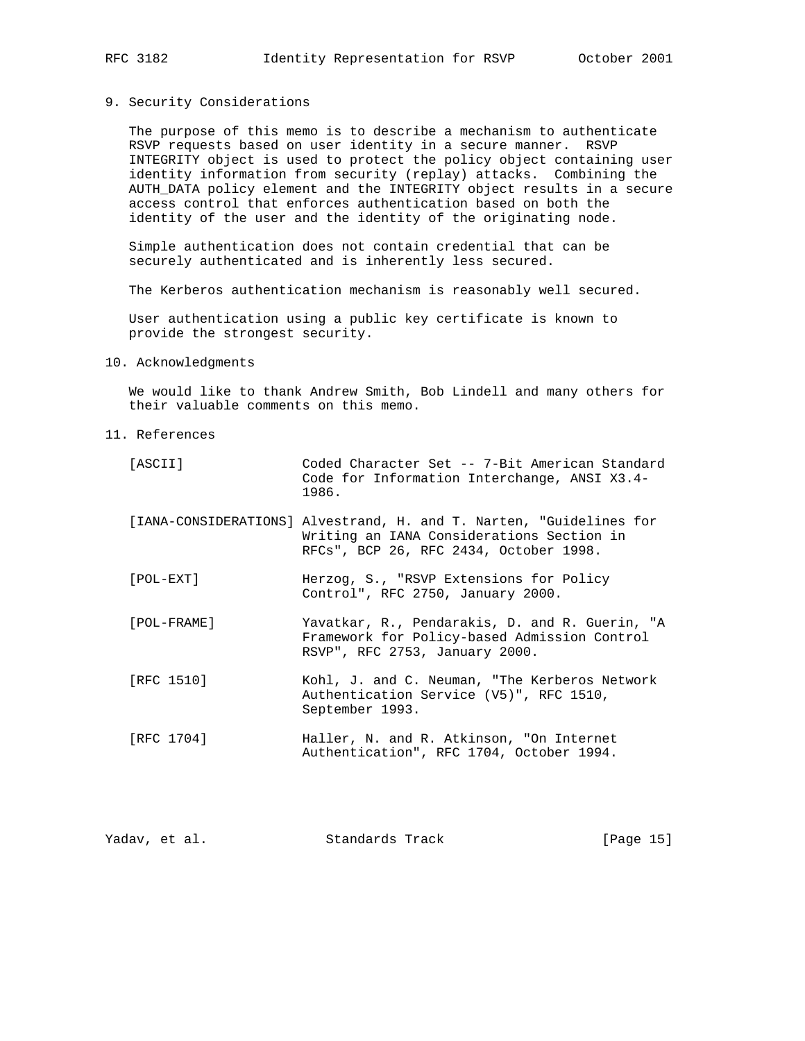# 9. Security Considerations

 The purpose of this memo is to describe a mechanism to authenticate RSVP requests based on user identity in a secure manner. RSVP INTEGRITY object is used to protect the policy object containing user identity information from security (replay) attacks. Combining the AUTH\_DATA policy element and the INTEGRITY object results in a secure access control that enforces authentication based on both the identity of the user and the identity of the originating node.

 Simple authentication does not contain credential that can be securely authenticated and is inherently less secured.

The Kerberos authentication mechanism is reasonably well secured.

 User authentication using a public key certificate is known to provide the strongest security.

# 10. Acknowledgments

 We would like to thank Andrew Smith, Bob Lindell and many others for their valuable comments on this memo.

11. References

| [ASCII]     | Coded Character Set -- 7-Bit American Standard<br>Code for Information Interchange, ANSI X3.4-<br>1986.                                                    |
|-------------|------------------------------------------------------------------------------------------------------------------------------------------------------------|
|             | [IANA-CONSIDERATIONS] Alvestrand, H. and T. Narten, "Guidelines for<br>Writing an IANA Considerations Section in<br>RFCs", BCP 26, RFC 2434, October 1998. |
| [POL-EXT]   | Herzog, S., "RSVP Extensions for Policy<br>Control", RFC 2750, January 2000.                                                                               |
| [POL-FRAME] | Yavatkar, R., Pendarakis, D. and R. Guerin, "A<br>Framework for Policy-based Admission Control<br>RSVP", RFC 2753, January 2000.                           |
| FRFC 15101  | Kohl, J. and C. Neuman, "The Kerberos Network<br>Authentication Service (V5)", RFC 1510,<br>September 1993.                                                |
| [RFC 1704]  | Haller, N. and R. Atkinson, "On Internet<br>Authentication", RFC 1704, October 1994.                                                                       |

| Yadav, et al. | Standards Track | [Page 15] |
|---------------|-----------------|-----------|
|               |                 |           |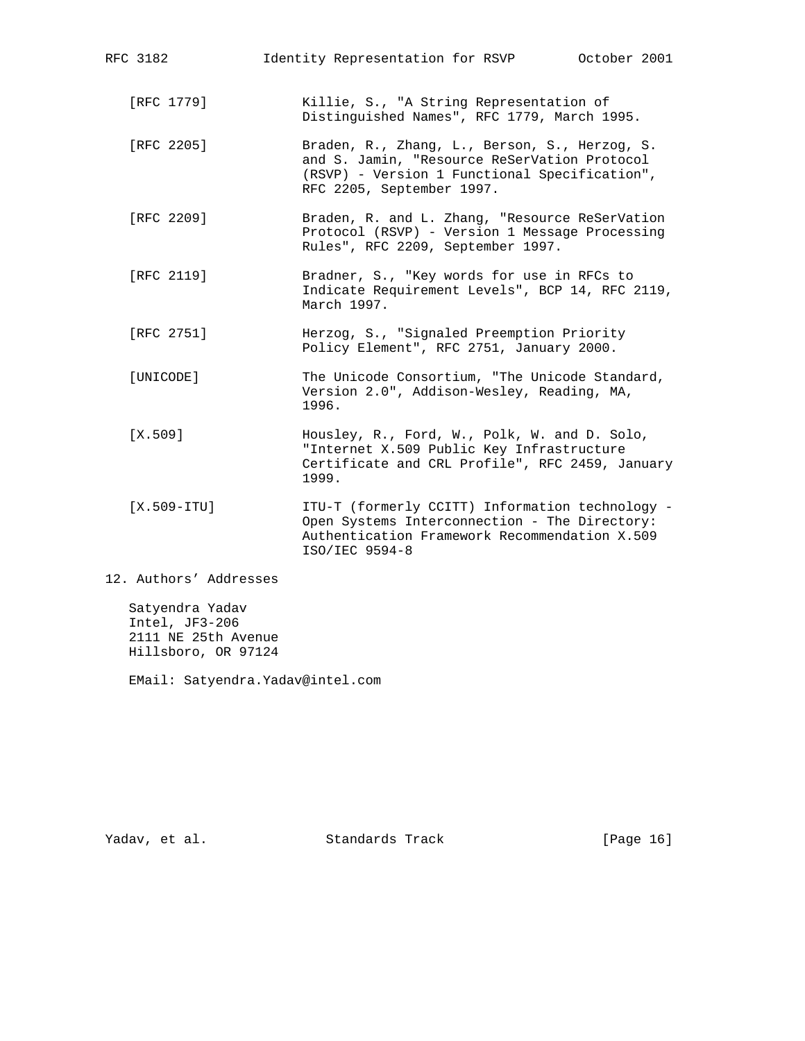| RFC 3182               | Identity Representation for RSVP October 2001                                                                                                                               |
|------------------------|-----------------------------------------------------------------------------------------------------------------------------------------------------------------------------|
| [RFC 1779]             | Killie, S., "A String Representation of<br>Distinguished Names", RFC 1779, March 1995.                                                                                      |
| FRFC 22051             | Braden, R., Zhang, L., Berson, S., Herzog, S.<br>and S. Jamin, "Resource ReSerVation Protocol<br>(RSVP) - Version 1 Functional Specification",<br>RFC 2205, September 1997. |
| [RFC 2209]             | Braden, R. and L. Zhang, "Resource ReSerVation<br>Protocol (RSVP) - Version 1 Message Processing<br>Rules", RFC 2209, September 1997.                                       |
| [RFC 2119]             | Bradner, S., "Key words for use in RFCs to<br>Indicate Requirement Levels", BCP 14, RFC 2119,<br>March 1997.                                                                |
| [RFC 2751]             | Herzog, S., "Signaled Preemption Priority<br>Policy Element", RFC 2751, January 2000.                                                                                       |
| [UNICODE]              | The Unicode Consortium, "The Unicode Standard,<br>Version 2.0", Addison-Wesley, Reading, MA,<br>1996.                                                                       |
| [X.509]                | Housley, R., Ford, W., Polk, W. and D. Solo,<br>"Internet X.509 Public Key Infrastructure<br>Certificate and CRL Profile", RFC 2459, January<br>1999.                       |
| $[X.509-TTU]$          | ITU-T (formerly CCITT) Information technology -<br>Open Systems Interconnection - The Directory:<br>Authentication Framework Recommendation X.509<br>ISO/IEC 9594-8         |
| 12. Authors' Addresses |                                                                                                                                                                             |

 Satyendra Yadav Intel, JF3-206 2111 NE 25th Avenue Hillsboro, OR 97124

EMail: Satyendra.Yadav@intel.com

Yadav, et al. Standards Track [Page 16]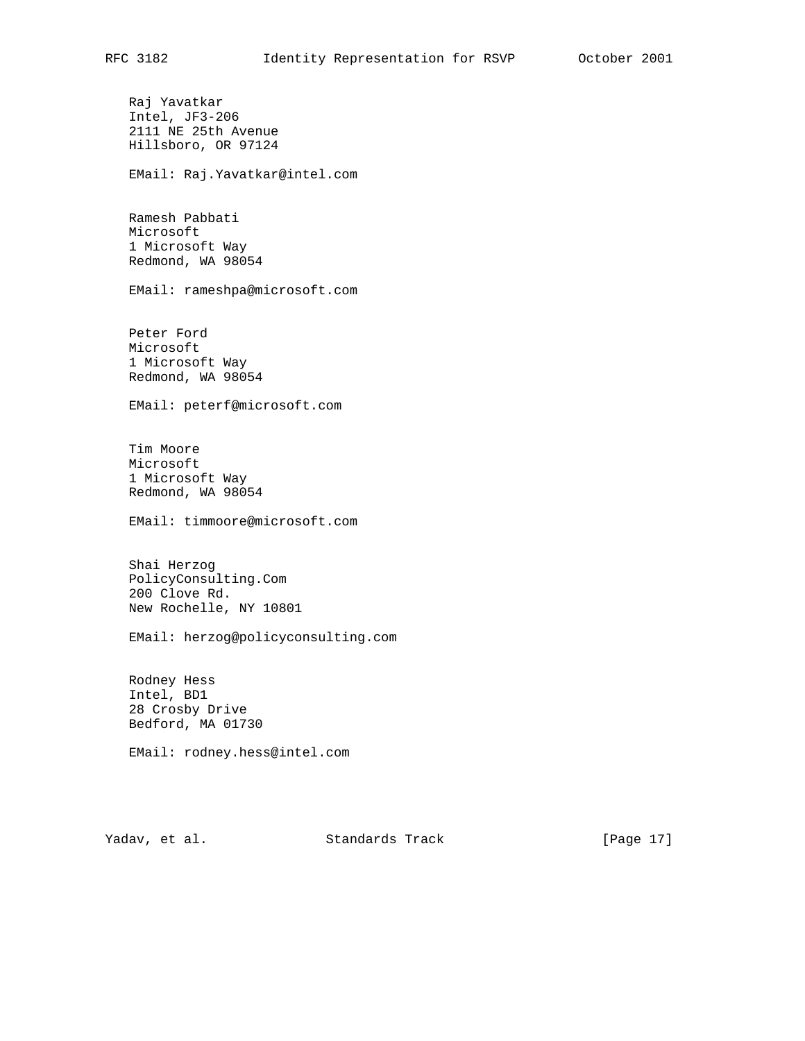Raj Yavatkar Intel, JF3-206 2111 NE 25th Avenue Hillsboro, OR 97124 EMail: Raj.Yavatkar@intel.com Ramesh Pabbati Microsoft 1 Microsoft Way Redmond, WA 98054 EMail: rameshpa@microsoft.com Peter Ford Microsoft 1 Microsoft Way Redmond, WA 98054 EMail: peterf@microsoft.com Tim Moore Microsoft 1 Microsoft Way Redmond, WA 98054 EMail: timmoore@microsoft.com Shai Herzog PolicyConsulting.Com 200 Clove Rd. New Rochelle, NY 10801 EMail: herzog@policyconsulting.com Rodney Hess Intel, BD1 28 Crosby Drive Bedford, MA 01730 EMail: rodney.hess@intel.com

Yadav, et al. Standards Track [Page 17]